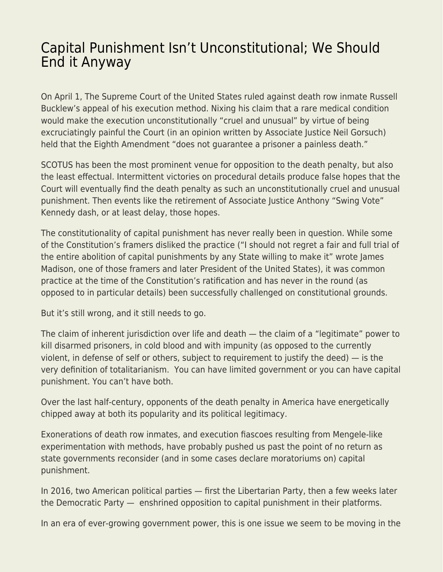## [Capital Punishment Isn't Unconstitutional; We Should](https://everything-voluntary.com/capital-punishment-isnt-unconstitutional-we-should-end-it-anyway) [End it Anyway](https://everything-voluntary.com/capital-punishment-isnt-unconstitutional-we-should-end-it-anyway)

On April 1, The Supreme Court of the United States ruled against death row inmate Russell Bucklew's appeal of his execution method. Nixing his claim that a rare medical condition would make the execution unconstitutionally "cruel and unusual" by virtue of being excruciatingly painful the Court (in an opinion written by Associate Justice Neil Gorsuch) held that the Eighth Amendment "does not guarantee a prisoner a painless death."

SCOTUS has been the most prominent venue for opposition to the death penalty, but also the least effectual. Intermittent victories on procedural details produce false hopes that the Court will eventually find the death penalty as such an unconstitutionally cruel and unusual punishment. Then events like the retirement of Associate Justice Anthony "Swing Vote" Kennedy dash, or at least delay, those hopes.

The constitutionality of capital punishment has never really been in question. While some of the Constitution's framers disliked the practice ("I should not regret a fair and full trial of the entire abolition of capital punishments by any State willing to make it" wrote James Madison, one of those framers and later President of the United States), it was common practice at the time of the Constitution's ratification and has never in the round (as opposed to in particular details) been successfully challenged on constitutional grounds.

But it's still wrong, and it still needs to go.

The claim of inherent jurisdiction over life and death — the claim of a "legitimate" power to kill disarmed prisoners, in cold blood and with impunity (as opposed to the currently violent, in defense of self or others, subject to requirement to justify the deed) — is the very definition of totalitarianism. You can have limited government or you can have capital punishment. You can't have both.

Over the last half-century, opponents of the death penalty in America have energetically chipped away at both its popularity and its political legitimacy.

Exonerations of death row inmates, and execution fiascoes resulting from Mengele-like experimentation with methods, have probably pushed us past the point of no return as state governments reconsider (and in some cases declare moratoriums on) capital punishment.

In 2016, two American political parties — first the Libertarian Party, then a few weeks later the Democratic Party — enshrined opposition to capital punishment in their platforms.

In an era of ever-growing government power, this is one issue we seem to be moving in the